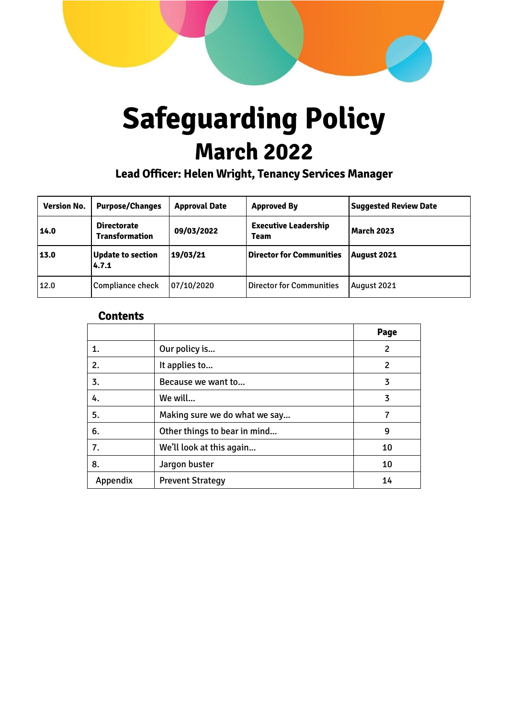

# **Safeguarding Policy March 2022**

**Lead Officer: Helen Wright, Tenancy Services Manager**

| <b>Version No.</b> | <b>Purpose/Changes</b>                      | <b>Approval Date</b> | <b>Approved By</b>                         | <b>Suggested Review Date</b> |
|--------------------|---------------------------------------------|----------------------|--------------------------------------------|------------------------------|
| 14.0               | <b>Directorate</b><br><b>Transformation</b> | 09/03/2022           | <b>Executive Leadership</b><br><b>Team</b> | <b>March 2023</b>            |
| 13.0               | <b>Update to section</b><br>4.7.1           | 19/03/21             | <b>Director for Communities</b>            | <b>August 2021</b>           |
| 12.0               | Compliance check                            | 07/10/2020           | <b>Director for Communities</b>            | August 2021                  |

# **Contents**

|          |                               | Page |
|----------|-------------------------------|------|
| 1.       | Our policy is                 | 2    |
| 2.       | It applies to                 | 2    |
| 3.       | Because we want to            | 3    |
| 4.       | We will                       | 3    |
| 5.       | Making sure we do what we say |      |
| 6.       | Other things to bear in mind  | 9    |
| 7.       | We'll look at this again      | 10   |
| 8.       | Jargon buster                 | 10   |
| Appendix | <b>Prevent Strategy</b>       | 14   |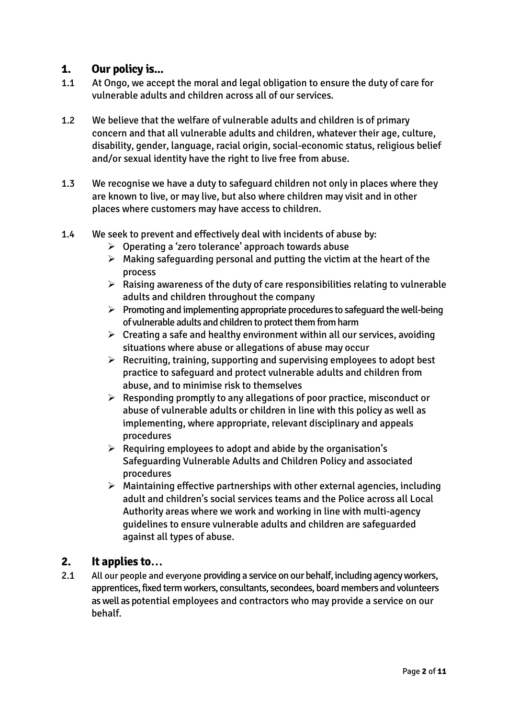# **1. Our policy is...**

- 1.1 At Ongo, we accept the moral and legal obligation to ensure the duty of care for vulnerable adults and children across all of our services.
- 1.2 We believe that the welfare of vulnerable adults and children is of primary concern and that all vulnerable adults and children, whatever their age, culture, disability, gender, language, racial origin, social-economic status, religious belief and/or sexual identity have the right to live free from abuse.
- 1.3 We recognise we have a duty to safeguard children not only in places where they are known to live, or may live, but also where children may visit and in other places where customers may have access to children.
- 1.4 We seek to prevent and effectively deal with incidents of abuse by:
	- $\triangleright$  Operating a 'zero tolerance' approach towards abuse
	- $\triangleright$  Making safeguarding personal and putting the victim at the heart of the process
	- $\triangleright$  Raising awareness of the duty of care responsibilities relating to vulnerable adults and children throughout the company
	- $\triangleright$  Promoting and implementing appropriate procedures to safeguard the well-being of vulnerable adults and children to protect them from harm
	- $\triangleright$  Creating a safe and healthy environment within all our services, avoiding situations where abuse or allegations of abuse may occur
	- $\triangleright$  Recruiting, training, supporting and supervising employees to adopt best practice to safeguard and protect vulnerable adults and children from abuse, and to minimise risk to themselves
	- $\triangleright$  Responding promptly to any allegations of poor practice, misconduct or abuse of vulnerable adults or children in line with this policy as well as implementing, where appropriate, relevant disciplinary and appeals procedures
	- $\triangleright$  Requiring employees to adopt and abide by the organisation's Safeguarding Vulnerable Adults and Children Policy and associated procedures
	- $\triangleright$  Maintaining effective partnerships with other external agencies, including adult and children's social services teams and the Police across all Local Authority areas where we work and working in line with multi-agency guidelines to ensure vulnerable adults and children are safeguarded against all types of abuse.

# **2. It applies to…**

2.1 All our people and everyone providing a service on our behalf, including agency workers, apprentices, fixed term workers, consultants, secondees, board members and volunteers as well as potential employees and contractors who may provide a service on our behalf.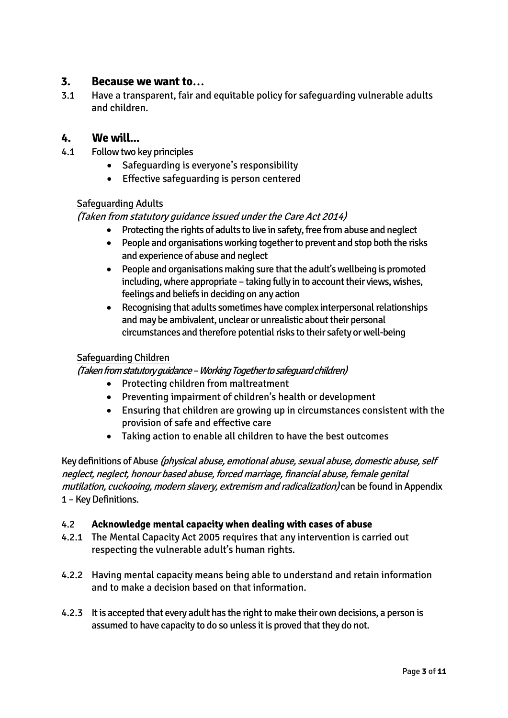# **3. Because we want to…**

3.1 Have a transparent, fair and equitable policy for safeguarding vulnerable adults and children.

# **4. We will...**

- 4.1 Follow two key principles
	- Safeguarding is everyone's responsibility
	- **•** Effective safeguarding is person centered

#### Safeguarding Adults

#### (Taken from statutory guidance issued under the Care Act 2014)

- Protecting the rights of adults to live in safety, free from abuse and neglect
	- People and organisations working together to prevent and stop both the risks and experience of abuse and neglect
	- People and organisations making sure that the adult's wellbeing is promoted including, where appropriate – taking fully in to account their views, wishes, feelings and beliefs in deciding on any action
	- Recognising that adults sometimes have complex interpersonal relationships and may be ambivalent, unclear or unrealistic about their personal circumstances and therefore potential risks to their safety or well-being

#### Safeguarding Children

#### (Taken from statutory guidance –Working Together to safeguard children)

- Protecting children from maltreatment
- Preventing impairment of children's health or development
- Ensuring that children are growing up in circumstances consistent with the provision of safe and effective care
- Taking action to enable all children to have the best outcomes

Key definitions of Abuse (physical abuse, emotional abuse, sexual abuse, domestic abuse, self neglect, neglect, honour based abuse, forced marriage, financial abuse, female genital mutilation, cuckooing, modern slavery, extremism and radicalization) can be found in Appendix 1 - Key Definitions.

#### 4.2 **Acknowledge mental capacity when dealing with cases of abuse**

- 4.2.1 The Mental Capacity Act 2005 requires that any intervention is carried out respecting the vulnerable adult's human rights.
- 4.2.2 Having mental capacity means being able to understand and retain information and to make a decision based on that information.
- 4.2.3 It is accepted that every adult has the right to make their own decisions, a person is assumed to have capacity to do so unless it is proved that they do not.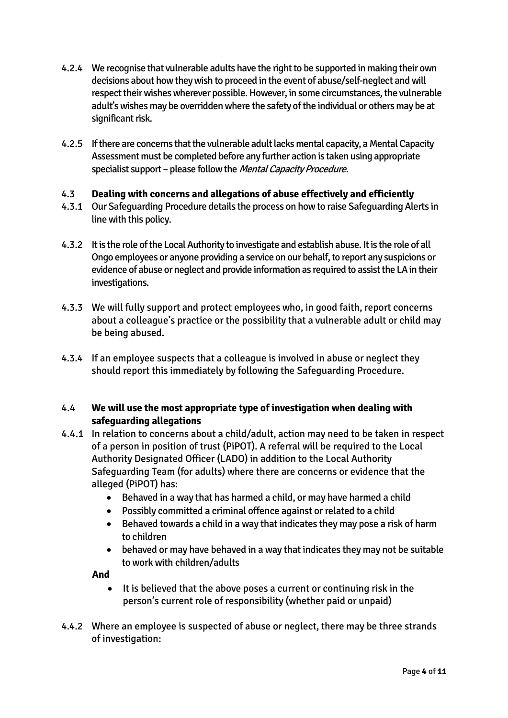- 4.2.4 We recognise that vulnerable adults have the right to be supported in making their own decisions about how they wish to proceed in the event of abuse/self-neglect and will respect their wishes wherever possible. However, in some circumstances, the vulnerable adult's wishes may be overridden where the safety of the individual or others may be at significant risk.
- 4.2.5 If there are concerns that the vulnerable adult lacks mental capacity, a Mental Capacity Assessment must be completed before any further action is taken using appropriate specialist support – please follow the Mental Capacity Procedure.

# 4.3 **Dealing with concerns and allegations of abuse effectively and efficiently**

- 4.3.1 Our Safeguarding Procedure details the process on how to raise Safeguarding Alerts in line with this policy.
- 4.3.2 It is the role of the Local Authority to investigate and establish abuse. It is the role of all Ongo employees or anyone providing a service on our behalf, to report any suspicions or evidence of abuse or neglect and provide information as required to assist the LA in their investigations.
- 4.3.3 We will fully support and protect employees who, in good faith, report concerns about a colleague's practice or the possibility that a vulnerable adult or child may be being abused.
- 4.3.4 If an employee suspects that a colleague is involved in abuse or neglect they should report this immediately by following the Safeguarding Procedure.

#### 4.4 **We will use the most appropriate type of investigation when dealing with safeguarding allegations**

- 4.4.1 In relation to concerns about a child/adult, action may need to be taken in respect of a person in position of trust (PiPOT). A referral will be required to the Local Authority Designated Officer (LADO) in addition to the Local Authority Safeguarding Team (for adults) where there are concerns or evidence that the alleged (PiPOT) has:
	- Behaved in a way that has harmed a child, or may have harmed a child
	- Possibly committed a criminal offence against or related to a child
	- Behaved towards a child in a way that indicates they may pose a risk of harm to children
	- behaved or may have behaved in a way that indicates they may not be suitable to work with children/adults

**And**

- It is believed that the above poses a current or continuing risk in the person's current role of responsibility (whether paid or unpaid)
- 4.4.2 Where an employee is suspected of abuse or neglect, there may be three strands of investigation: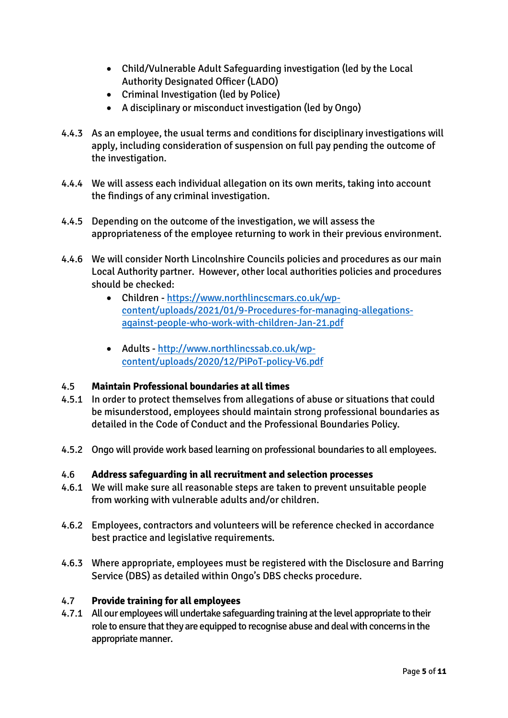- Child/Vulnerable Adult Safeguarding investigation (led by the Local Authority Designated Officer (LADO)
- Criminal Investigation (led by Police)
- A disciplinary or misconduct investigation (led by Ongo)
- 4.4.3 As an employee, the usual terms and conditions for disciplinary investigations will apply, including consideration of suspension on full pay pending the outcome of the investigation.
- 4.4.4 We will assess each individual allegation on its own merits, taking into account the findings of any criminal investigation.
- 4.4.5 Depending on the outcome of the investigation, we will assess the appropriateness of the employee returning to work in their previous environment.
- 4.4.6 We will consider North Lincolnshire Councils policies and procedures as our main Local Authority partner. However, other local authorities policies and procedures should be checked:
	- Children [https://www.northlincscmars.co.uk/wp](https://www.northlincscmars.co.uk/wp-content/uploads/2021/01/9-Procedures-for-managing-allegations-against-people-who-work-with-children-Jan-21.pdf)[content/uploads/2021/01/9-Procedures-for-managing-allegations](https://www.northlincscmars.co.uk/wp-content/uploads/2021/01/9-Procedures-for-managing-allegations-against-people-who-work-with-children-Jan-21.pdf)[against-people-who-work-with-children-Jan-21.pdf](https://www.northlincscmars.co.uk/wp-content/uploads/2021/01/9-Procedures-for-managing-allegations-against-people-who-work-with-children-Jan-21.pdf)
	- Adults [http://www.northlincssab.co.uk/wp](https://protect-eu.mimecast.com/s/NQo2CwkDLhLG3wuVDWe0?domain=northlincssab.co.uk)[content/uploads/2020/12/PiPoT-policy-V6.pdf](https://protect-eu.mimecast.com/s/NQo2CwkDLhLG3wuVDWe0?domain=northlincssab.co.uk)

#### 4.5 **Maintain Professional boundaries at all times**

- 4.5.1 In order to protect themselves from allegations of abuse or situations that could be misunderstood, employees should maintain strong professional boundaries as detailed in the Code of Conduct and the Professional Boundaries Policy.
- 4.5.2 Ongo will provide work based learning on professional boundaries to all employees.

#### 4.6 **Address safeguarding in all recruitment and selection processes**

- 4.6.1 We will make sure all reasonable steps are taken to prevent unsuitable people from working with vulnerable adults and/or children.
- 4.6.2 Employees, contractors and volunteers will be reference checked in accordance best practice and legislative requirements.
- 4.6.3 Where appropriate, employees must be registered with the Disclosure and Barring Service (DBS) as detailed within Ongo's DBS checks procedure.

#### 4.7 **Provide training for all employees**

4.7.1 All our employees will undertake safeguarding training at the level appropriate to their role to ensure that they are equipped to recognise abuse and deal with concerns in the appropriate manner.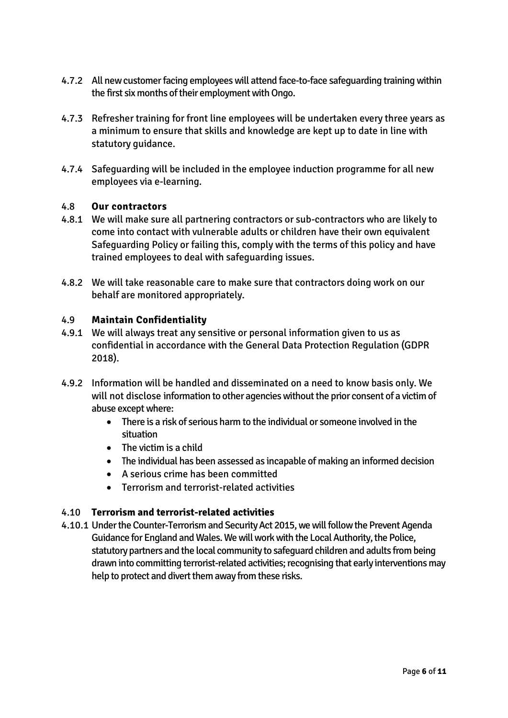- 4.7.2 All new customer facing employees will attend face-to-face safeguarding training within the first six months of their employment with Ongo.
- 4.7.3 Refresher training for front line employees will be undertaken every three years as a minimum to ensure that skills and knowledge are kept up to date in line with statutory guidance.
- 4.7.4 Safeguarding will be included in the employee induction programme for all new employees via e-learning.

#### 4.8 **Our contractors**

- 4.8.1 We will make sure all partnering contractors or sub-contractors who are likely to come into contact with vulnerable adults or children have their own equivalent Safeguarding Policy or failing this, comply with the terms of this policy and have trained employees to deal with safeguarding issues.
- 4.8.2 We will take reasonable care to make sure that contractors doing work on our behalf are monitored appropriately.

#### 4.9 **Maintain Confidentiality**

- 4.9.1 We will always treat any sensitive or personal information given to us as confidential in accordance with the General Data Protection Regulation (GDPR 2018).
- 4.9.2 Information will be handled and disseminated on a need to know basis only. We will not disclose information to other agencies without the prior consent of a victim of abuse except where:
	- There is a risk of serious harm to the individual or someone involved in the situation
	- The victim is a child
	- The individual has been assessed as incapable of making an informed decision
	- A serious crime has been committed
	- Terrorism and terrorist-related activities

#### 4.10 **Terrorism and terrorist-related activities**

4.10.1 Under the Counter-Terrorism and Security Act 2015, we will follow the Prevent Agenda Guidance for England and Wales. We will work with the Local Authority, the Police, statutory partners and the local community to safeguard children and adults from being drawn into committing terrorist-related activities; recognising that early interventions may help to protect and divert them away from these risks.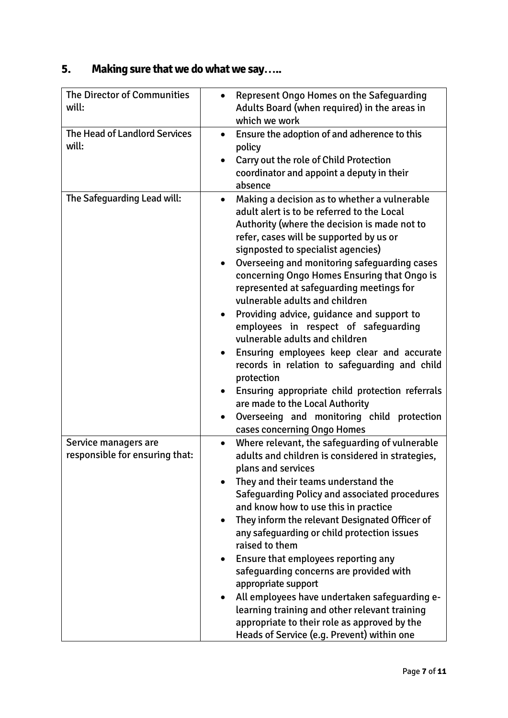# **5. Making sure that we do what we say…..**

| The Director of Communities<br>will:                   | <b>Represent Ongo Homes on the Safeguarding</b><br>Adults Board (when required) in the areas in<br>which we work                                                                                                                                                                                                                                                                                                                                                                                                                                                                                                                                                                                                                                                                                                                               |
|--------------------------------------------------------|------------------------------------------------------------------------------------------------------------------------------------------------------------------------------------------------------------------------------------------------------------------------------------------------------------------------------------------------------------------------------------------------------------------------------------------------------------------------------------------------------------------------------------------------------------------------------------------------------------------------------------------------------------------------------------------------------------------------------------------------------------------------------------------------------------------------------------------------|
| The Head of Landlord Services<br>will:                 | Ensure the adoption of and adherence to this<br>$\bullet$<br>policy<br>Carry out the role of Child Protection<br>$\bullet$<br>coordinator and appoint a deputy in their<br>absence                                                                                                                                                                                                                                                                                                                                                                                                                                                                                                                                                                                                                                                             |
| The Safeguarding Lead will:                            | Making a decision as to whether a vulnerable<br>adult alert is to be referred to the Local<br>Authority (where the decision is made not to<br>refer, cases will be supported by us or<br>signposted to specialist agencies)<br>Overseeing and monitoring safeguarding cases<br>$\bullet$<br>concerning Ongo Homes Ensuring that Ongo is<br>represented at safeguarding meetings for<br>vulnerable adults and children<br>Providing advice, guidance and support to<br>$\bullet$<br>employees in respect of safeguarding<br>vulnerable adults and children<br>Ensuring employees keep clear and accurate<br>records in relation to safeguarding and child<br>protection<br>Ensuring appropriate child protection referrals<br>are made to the Local Authority<br>Overseeing and monitoring child protection<br>٠<br>cases concerning Ongo Homes |
| Service managers are<br>responsible for ensuring that: | Where relevant, the safeguarding of vulnerable<br>$\bullet$<br>adults and children is considered in strategies,<br>plans and services<br>They and their teams understand the<br>Safeguarding Policy and associated procedures<br>and know how to use this in practice<br>They inform the relevant Designated Officer of<br>any safeguarding or child protection issues<br>raised to them<br>Ensure that employees reporting any<br>$\bullet$<br>safeguarding concerns are provided with<br>appropriate support<br>All employees have undertaken safeguarding e-<br>learning training and other relevant training<br>appropriate to their role as approved by the<br>Heads of Service (e.g. Prevent) within one                                                                                                                                 |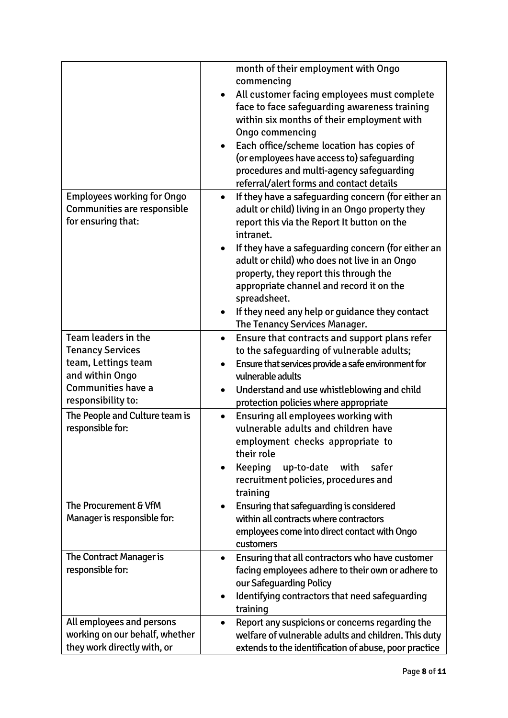|                                                                                        | month of their employment with Ongo<br>commencing<br>All customer facing employees must complete<br>face to face safeguarding awareness training<br>within six months of their employment with<br>Ongo commencing<br>Each office/scheme location has copies of<br>$\bullet$<br>(or employees have access to) safeguarding<br>procedures and multi-agency safeguarding<br>referral/alert forms and contact details |
|----------------------------------------------------------------------------------------|-------------------------------------------------------------------------------------------------------------------------------------------------------------------------------------------------------------------------------------------------------------------------------------------------------------------------------------------------------------------------------------------------------------------|
| <b>Employees working for Ongo</b><br>Communities are responsible<br>for ensuring that: | If they have a safeguarding concern (for either an<br>$\bullet$<br>adult or child) living in an Ongo property they<br>report this via the Report It button on the<br>intranet.                                                                                                                                                                                                                                    |
|                                                                                        | If they have a safeguarding concern (for either an<br>$\bullet$<br>adult or child) who does not live in an Ongo<br>property, they report this through the<br>appropriate channel and record it on the<br>spreadsheet.<br>If they need any help or guidance they contact<br>The Tenancy Services Manager.                                                                                                          |
| Team leaders in the                                                                    | Ensure that contracts and support plans refer<br>$\bullet$                                                                                                                                                                                                                                                                                                                                                        |
| <b>Tenancy Services</b><br>team, Lettings team                                         | to the safeguarding of vulnerable adults;                                                                                                                                                                                                                                                                                                                                                                         |
| and within Ongo                                                                        | Ensure that services provide a safe environment for<br>$\bullet$<br>vulnerable adults                                                                                                                                                                                                                                                                                                                             |
| <b>Communities have a</b>                                                              | Understand and use whistleblowing and child                                                                                                                                                                                                                                                                                                                                                                       |
| responsibility to:                                                                     | protection policies where appropriate                                                                                                                                                                                                                                                                                                                                                                             |
| The People and Culture team is<br>responsible for:                                     | Ensuring all employees working with<br>$\bullet$<br>vulnerable adults and children have                                                                                                                                                                                                                                                                                                                           |
|                                                                                        | employment checks appropriate to<br>their role                                                                                                                                                                                                                                                                                                                                                                    |
|                                                                                        | Keeping<br>up-to-date<br>with<br>safer<br>$\bullet$                                                                                                                                                                                                                                                                                                                                                               |
|                                                                                        | recruitment policies, procedures and<br>training                                                                                                                                                                                                                                                                                                                                                                  |
| The Procurement & VfM                                                                  | Ensuring that safeguarding is considered<br>$\bullet$                                                                                                                                                                                                                                                                                                                                                             |
| Manager is responsible for:                                                            | within all contracts where contractors                                                                                                                                                                                                                                                                                                                                                                            |
|                                                                                        | employees come into direct contact with Ongo<br>customers                                                                                                                                                                                                                                                                                                                                                         |
| The Contract Manager is<br>responsible for:                                            | Ensuring that all contractors who have customer<br>$\bullet$<br>facing employees adhere to their own or adhere to<br>our Safeguarding Policy                                                                                                                                                                                                                                                                      |
|                                                                                        | Identifying contractors that need safeguarding<br>$\bullet$<br>training                                                                                                                                                                                                                                                                                                                                           |
| All employees and persons                                                              | Report any suspicions or concerns regarding the                                                                                                                                                                                                                                                                                                                                                                   |
| working on our behalf, whether                                                         | welfare of vulnerable adults and children. This duty                                                                                                                                                                                                                                                                                                                                                              |
| they work directly with, or                                                            | extends to the identification of abuse, poor practice                                                                                                                                                                                                                                                                                                                                                             |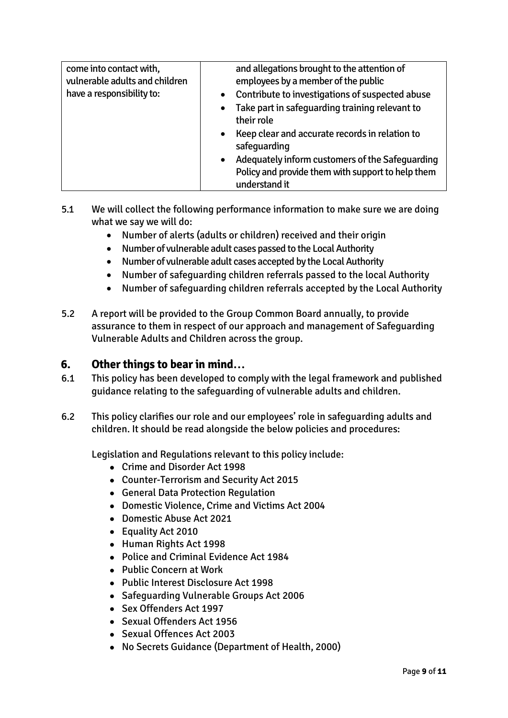| come into contact with,<br>vulnerable adults and children<br>have a responsibility to: | and allegations brought to the attention of<br>employees by a member of the public<br>Contribute to investigations of suspected abuse<br>$\bullet$<br>Take part in safeguarding training relevant to<br>$\bullet$<br>their role |
|----------------------------------------------------------------------------------------|---------------------------------------------------------------------------------------------------------------------------------------------------------------------------------------------------------------------------------|
|                                                                                        | • Keep clear and accurate records in relation to<br>safeguarding<br>Adequately inform customers of the Safeguarding<br>$\bullet$<br>Policy and provide them with support to help them<br>understand it                          |

- 5.1 We will collect the following performance information to make sure we are doing what we say we will do:
	- Number of alerts (adults or children) received and their origin
	- Number of vulnerable adult cases passed to the Local Authority
	- Number of vulnerable adult cases accepted by the Local Authority
	- Number of safeguarding children referrals passed to the local Authority
	- Number of safeguarding children referrals accepted by the Local Authority
- 5.2 A report will be provided to the Group Common Board annually, to provide assurance to them in respect of our approach and management of Safeguarding Vulnerable Adults and Children across the group.

# **6. Other things to bear in mind…**

- 6.1 This policy has been developed to comply with the legal framework and published guidance relating to the safeguarding of vulnerable adults and children.
- 6.2 This policy clarifies our role and our employees' role in safeguarding adults and children. It should be read alongside the below policies and procedures:

Legislation and Regulations relevant to this policy include:

- Crime and Disorder Act 1998
- Counter-Terrorism and Security Act 2015
- General Data Protection Regulation
- Domestic Violence, Crime and Victims Act 2004
- Domestic Abuse Act 2021
- Equality Act 2010
- Human Rights Act 1998
- Police and Criminal Evidence Act 1984
- Public Concern at Work
- Public Interest Disclosure Act 1998
- Safeguarding Vulnerable Groups Act 2006
- Sex Offenders Act 1997
- Sexual Offenders Act 1956
- Sexual Offences Act 2003
- No Secrets Guidance (Department of Health, 2000)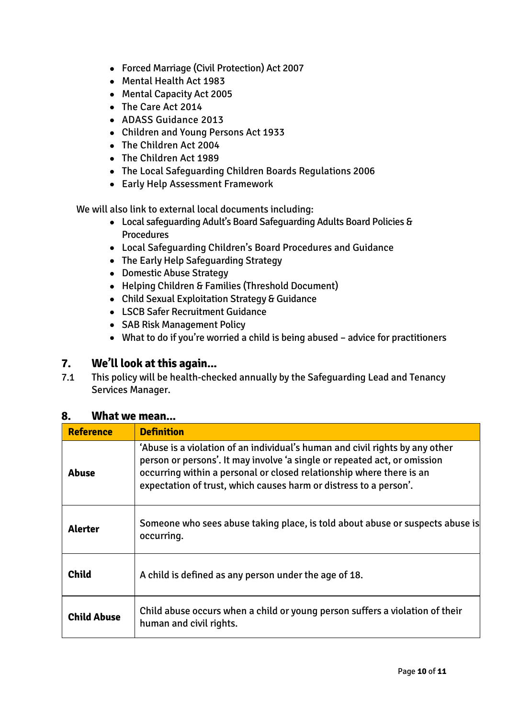- Forced Marriage (Civil Protection) Act 2007
- Mental Health Act 1983
- Mental Capacity Act 2005
- The Care Act 2014
- ADASS Guidance 2013
- Children and Young Persons Act 1933
- The Children Act 2004
- The Children Act 1989
- The Local Safeguarding Children Boards Regulations 2006
- Early Help Assessment Framework

We will also link to external local documents including:

- Local safeguarding Adult's Board Safeguarding Adults Board Policies & **Procedures**
- Local Safeguarding Children's Board Procedures and Guidance
- The Early Help Safeguarding Strategy
- Domestic Abuse Strategy
- Helping Children & Families (Threshold Document)
- Child Sexual Exploitation Strategy & Guidance
- LSCB Safer Recruitment Guidance
- SAB Risk Management Policy
- What to do if you're worried a child is being abused advice for practitioners

# **7. We'll look at this again...**

7.1 This policy will be health-checked annually by the Safeguarding Lead and Tenancy Services Manager.

# **8. What we mean...**

| <b>Reference</b>   | <b>Definition</b>                                                                                                                                                                                                                                                                                      |
|--------------------|--------------------------------------------------------------------------------------------------------------------------------------------------------------------------------------------------------------------------------------------------------------------------------------------------------|
| Abuse              | 'Abuse is a violation of an individual's human and civil rights by any other<br>person or persons'. It may involve 'a single or repeated act, or omission<br>occurring within a personal or closed relationship where there is an<br>expectation of trust, which causes harm or distress to a person'. |
| <b>Alerter</b>     | Someone who sees abuse taking place, is told about abuse or suspects abuse is<br>occurring.                                                                                                                                                                                                            |
| <b>Child</b>       | A child is defined as any person under the age of 18.                                                                                                                                                                                                                                                  |
| <b>Child Abuse</b> | Child abuse occurs when a child or young person suffers a violation of their<br>human and civil rights.                                                                                                                                                                                                |